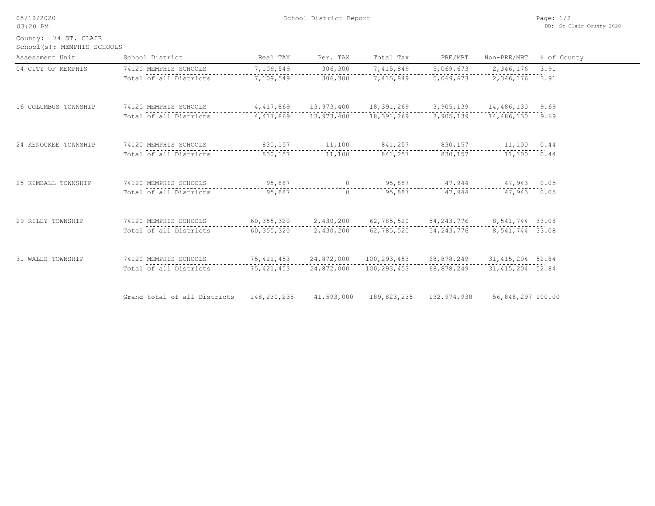05/19/2020

03:20 PM

School(s): MEMPHIS SCHOOLS County: 74 ST. CLAIR

| Assessment Unit      | School District                          | Real TAX     | Per. TAX                 | Total Tax                | PRE/MBT                               | Non-PRE/MBT        | % of County |
|----------------------|------------------------------------------|--------------|--------------------------|--------------------------|---------------------------------------|--------------------|-------------|
| 04 CITY OF MEMPHIS   | 74120 MEMPHIS SCHOOLS                    | 7,109,549    | 306,300                  | 7,415,849                | 5,069,673                             | 2,346,176          | 3.91        |
|                      | Total of all Districts                   | 7,109,549    | 306,300                  | 7,415,849                | 5,069,673                             | 2,346,176 3.91     |             |
| 16 COLUMBUS TOWNSHIP | 74120 MEMPHIS SCHOOLS                    |              | 4,417,869 13,973,400     | 18,391,269               | 3,905,139                             | 14,486,130 9.69    |             |
|                      | Total of all Districts                   |              | 4,417,869 13,973,400     | 18,391,269               | 3,905,139                             | 14,486,130 9.69    |             |
| 24 KENOCKEE TOWNSHIP | 74120 MEMPHIS SCHOOLS                    | 830,157      | 11,100                   |                          | 841,257 830,157                       | 11,100 0.44        |             |
|                      | Total of all Districts                   | 830,157      | 11,100                   | 841,257                  | 830,157                               | 11,100 0.44        |             |
| 25 KIMBALL TOWNSHIP  | 74120 MEMPHIS SCHOOLS                    | 95,887       |                          | 95,887<br>$\overline{0}$ |                                       | 47,944 47,943 0.05 |             |
|                      | Total of all Districts                   | 95,887       | $\circ$                  | 95,887                   | 47,944                                | 47,943 0.05        |             |
| 29 RILEY TOWNSHIP    | 74120 MEMPHIS SCHOOLS                    |              | 60, 355, 320 2, 430, 200 |                          | 62,785,520 54,243,776 8,541,744 33.08 |                    |             |
|                      | Total of all Districts                   | 60,355,320   | 2,430,200                |                          | 62,785,520 54,243,776 8,541,744 33.08 |                    |             |
| 31 WALES TOWNSHIP    | 74120 MEMPHIS SCHOOLS                    |              | 75,421,453 24,872,000    | 100,293,453 68,878,249   |                                       | 31, 415, 204 52.84 |             |
|                      | Total of all Districts                   | 75, 421, 453 | 24,872,000               | 100,293,453              | 68,878,249                            | 31, 415, 204 52.84 |             |
|                      | Grand total of all Districts 148,230,235 |              | 41,593,000               | 189,823,235              | 132,974,938                           | 56,848,297 100.00  |             |